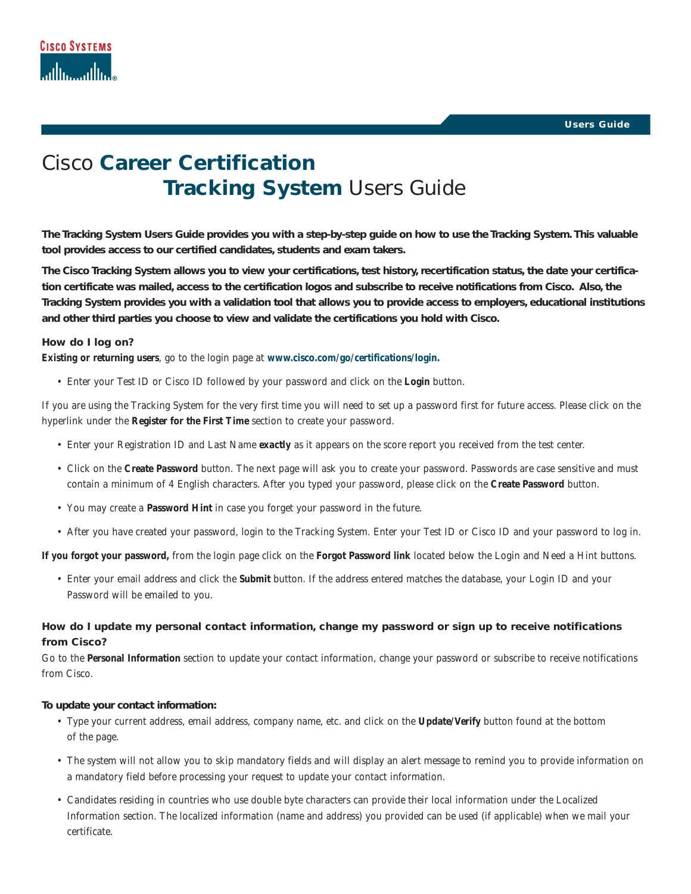# Cisco **Career Certification Tracking System** Users Guide

**The Tracking System Users Guide provides you with a step-by-step guide on how to use the Tracking System. This valuable tool provides access to our certified candidates, students and exam takers.**

**The Cisco Tracking System allows you to view your certifications, test history, recertification status, the date your certification certificate was mailed, access to the certification logos and subscribe to receive notifications from Cisco. Also, the Tracking System provides you with a validation tool that allows you to provide access to employers, educational institutions and other third parties you choose to view and validate the certifications you hold with Cisco.**

## **How do I log on?**

**Existing or returning users**, go to the login page at **www.cisco.com/go/certifications/login.**

• Enter your Test ID or Cisco ID followed by your password and click on the **Login** button.

*If you are using the Tracking System for the very first time* you will need to set up a password first for future access. Please click on the hyperlink under the **Register for the First Time** section to create your password.

- Enter your Registration ID and Last Name *exactly* as it appears on the score report you received from the test center.
- Click on the **Create Password** button. The next page will ask you to create your password. Passwords are case sensitive and must contain a minimum of 4 English characters. After you typed your password, please click on the **Create Password** button.
- You may create a **Password Hint** in case you forget your password in the future.
- After you have created your password, login to the Tracking System. Enter your Test ID or Cisco ID and your password to log in.

**If you forgot your password,** from the login page click on the **Forgot Password link** located below the Login and Need a Hint buttons.

• Enter your email address and click the **Submit** button. If the address entered matches the database, your Login ID and your Password will be emailed to you.

## **How do I update my personal contact information, change my password or sign up to receive notifications from Cisco?**

Go to the **Personal Information** section to update your contact information, change your password or subscribe to receive notifications from Cisco.

#### **To update your contact information:**

- Type your current address, email address, company name, etc. and click on the **Update/Verify** button found at the bottom of the page.
- The system will not allow you to skip mandatory fields and will display an alert message to remind you to provide information on a mandatory field before processing your request to update your contact information.
- Candidates residing in countries who use double byte characters can provide their local information under the Localized Information section. The localized information (name and address) you provided can be used (if applicable) when we mail your certificate.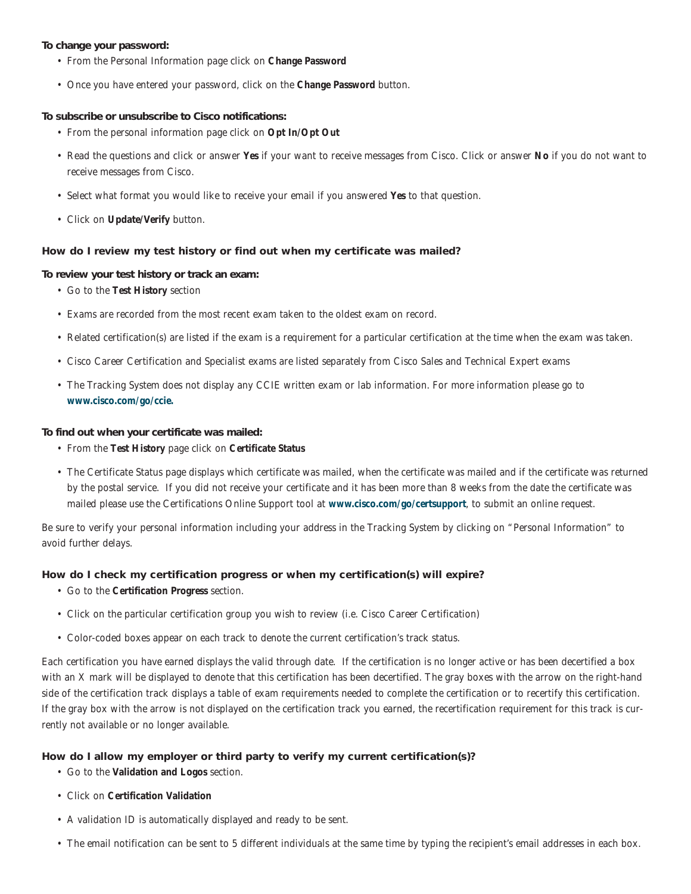## **To change your password:**

- From the Personal Information page click on **Change Password**
- Once you have entered your password, click on the **Change Password** button.

## **To subscribe or unsubscribe to Cisco notifications:**

- From the personal information page click on **Opt In/Opt Out**
- Read the questions and click or answer **Yes** if your want to receive messages from Cisco. Click or answer **No** if you do not want to receive messages from Cisco.
- Select what format you would like to receive your email if you answered **Yes** to that question.
- Click on **Update/Verify** button.

## **How do I review my test history or find out when my certificate was mailed?**

## **To review your test history or track an exam:**

- Go to the **Test History** section
- Exams are recorded from the most recent exam taken to the oldest exam on record.
- Related certification(s) are listed if the exam is a requirement for a particular certification at the time when the exam was taken.
- Cisco Career Certification and Specialist exams are listed separately from Cisco Sales and Technical Expert exams
- The Tracking System does not display any CCIE written exam or lab information. For more information please go to **www.cisco.com/go/ccie.**

## **To find out when your certificate was mailed:**

- From the **Test History** page click on **Certificate Status**
- The Certificate Status page displays which certificate was mailed, when the certificate was mailed and if the certificate was returned by the postal service. If you did not receive your certificate and it has been more than 8 weeks from the date the certificate was mailed please use the Certifications Online Support tool at **www.cisco.com/go/certsupport**, to submit an online request.

Be sure to verify your personal information including your address in the Tracking System by clicking on "Personal Information" to avoid further delays.

## **How do I check my certification progress or when my certification(s) will expire?**

- Go to the **Certification Progress** section.
- Click on the particular certification group you wish to review (i.e. Cisco Career Certification)
- Color-coded boxes appear on each track to denote the current certification's track status.

Each certification you have earned displays the valid through date. If the certification is no longer active or has been decertified a box with an X mark will be displayed to denote that this certification has been decertified. The gray boxes with the arrow on the right-hand side of the certification track displays a table of exam requirements needed to complete the certification or to recertify this certification. If the gray box with the arrow is not displayed on the certification track you earned, the recertification requirement for this track is currently not available or no longer available.

## **How do I allow my employer or third party to verify my current certification(s)?**

- Go to the **Validation and Logos** section.
- Click on **Certification Validation**
- A validation ID is automatically displayed and ready to be sent.
- The email notification can be sent to 5 different individuals at the same time by typing the recipient's email addresses in each box.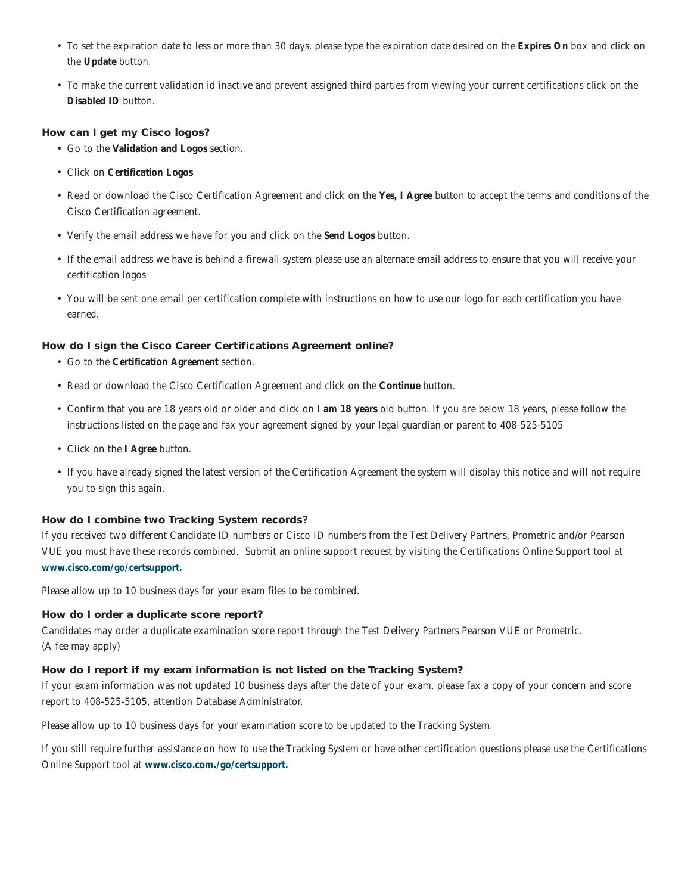- To set the expiration date to less or more than 30 days, please type the expiration date desired on the **Expires On** box and click on the **Update** button.
- To make the current validation id inactive and prevent assigned third parties from viewing your current certifications click on the **Disabled ID** button.

## **How can I get my Cisco logos?**

- Go to the **Validation and Logos** section.
- Click on **Certification Logos**
- Read or download the Cisco Certification Agreement and click on the **Yes, I Agree** button to accept the terms and conditions of the Cisco Certification agreement.
- Verify the email address we have for you and click on the **Send Logos** button.
- If the email address we have is behind a firewall system please use an alternate email address to ensure that you will receive your certification logos
- You will be sent one email per certification complete with instructions on how to use our logo for each certification you have earned.

## **How do I sign the Cisco Career Certifications Agreement online?**

- Go to the **Certification Agreement** section.
- Read or download the Cisco Certification Agreement and click on the **Continue** button.
- Confirm that you are 18 years old or older and click on **I am 18 years** old button. If you are below 18 years, please follow the instructions listed on the page and fax your agreement signed by your legal guardian or parent to 408-525-5105
- Click on the **I Agree** button.
- If you have already signed the latest version of the Certification Agreement the system will display this notice and will not require you to sign this again.

## **How do I combine two Tracking System records?**

If you received two different Candidate ID numbers or Cisco ID numbers from the Test Delivery Partners, Prometric and/or Pearson VUE you must have these records combined. Submit an online support request by visiting the Certifications Online Support tool at **www.cisco.com/go/certsupport.**

Please allow up to 10 business days for your exam files to be combined.

#### **How do I order a duplicate score report?**

Candidates may order a duplicate examination score report through the Test Delivery Partners Pearson VUE or Prometric. (A fee may apply)

## **How do I report if my exam information is not listed on the Tracking System?**

If your exam information was not updated 10 business days after the date of your exam, please fax a copy of your concern and score report to 408-525-5105, attention Database Administrator.

Please allow up to 10 business days for your examination score to be updated to the Tracking System.

If you still require further assistance on how to use the Tracking System or have other certification questions please use the Certifications Online Support tool at **www.cisco.com./go/certsupport.**